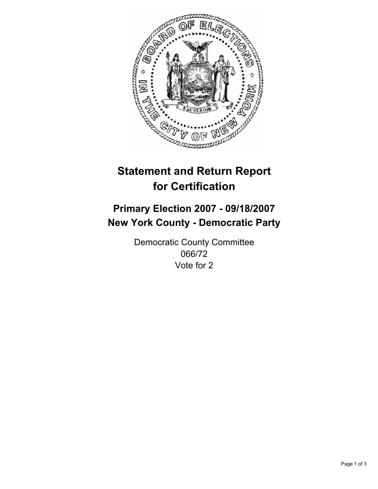

# **Statement and Return Report for Certification**

## **Primary Election 2007 - 09/18/2007 New York County - Democratic Party**

Democratic County Committee 066/72 Vote for 2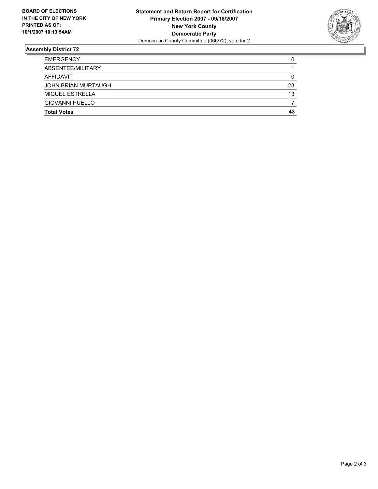

### **Assembly District 72**

| <b>EMERGENCY</b>       |    |
|------------------------|----|
| ABSENTEE/MILITARY      |    |
| AFFIDAVIT              |    |
| JOHN BRIAN MURTAUGH    | 23 |
| <b>MIGUEL ESTRELLA</b> | 13 |
| <b>GIOVANNI PUELLO</b> |    |
| <b>Total Votes</b>     | 43 |